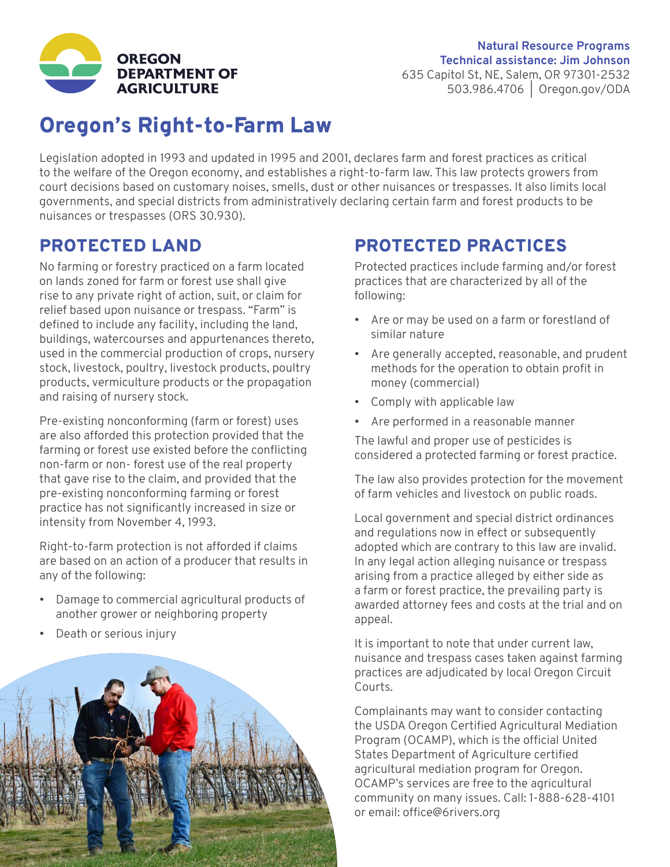

#### **Natural Resource Programs Technical assistance: Jim Johnson** 635 Capitol St, NE, Salem, OR 97301-2532 503.986.4706 | [Oregon.gov/ODA](https://www.oregon.gov/ODA)

## Oregon's Right-to-Farm Law

Legislation adopted in 1993 and updated in 1995 and 2001, declares farm and forest practices as critical to the welfare of the Oregon economy, and establishes a right-to-farm law. This law protects growers from court decisions based on customary noises, smells, dust or other nuisances or trespasses. It also limits local governments, and special districts from administratively declaring certain farm and forest products to be nuisances or trespasses (ORS 30.930).

### PROTECTED LAND

No farming or forestry practiced on a farm located on lands zoned for farm or forest use shall give rise to any private right of action, suit, or claim for relief based upon nuisance or trespass. "Farm" is defined to include any facility, including the land, buildings, watercourses and appurtenances thereto, used in the commercial production of crops, nursery stock, livestock, poultry, livestock products, poultry products, vermiculture products or the propagation and raising of nursery stock.

Pre-existing nonconforming (farm or forest) uses are also afforded this protection provided that the farming or forest use existed before the conflicting non-farm or non- forest use of the real property that gave rise to the claim, and provided that the pre-existing nonconforming farming or forest practice has not significantly increased in size or intensity from November 4, 1993.

Right-to-farm protection is not afforded if claims are based on an action of a producer that results in any of the following:

- Damage to commercial agricultural products of another grower or neighboring property
- Death or serious injury



## PROTECTED PRACTICES

Protected practices include farming and/or forest practices that are characterized by all of the following:

- Are or may be used on a farm or forestland of similar nature
- Are generally accepted, reasonable, and prudent methods for the operation to obtain profit in money (commercial)
- Comply with applicable law
- Are performed in a reasonable manner

The lawful and proper use of pesticides is considered a protected farming or forest practice.

The law also provides protection for the movement of farm vehicles and livestock on public roads.

Local government and special district ordinances and regulations now in effect or subsequently adopted which are contrary to this law are invalid. In any legal action alleging nuisance or trespass arising from a practice alleged by either side as a farm or forest practice, the prevailing party is awarded attorney fees and costs at the trial and on appeal.

It is important to note that under current law, nuisance and trespass cases taken against farming practices are adjudicated by local Oregon Circuit Courts.

Complainants may want to consider contacting the USDA Oregon Certified Agricultural Mediation Program (OCAMP), which is the official United States Department of Agriculture certified agricultural mediation program for Oregon. OCAMP's services are free to the agricultural community on many issues. Call: 1-888-628-4101 or email: [office@6rivers.org](mailto:office%406rivers.org?subject=)